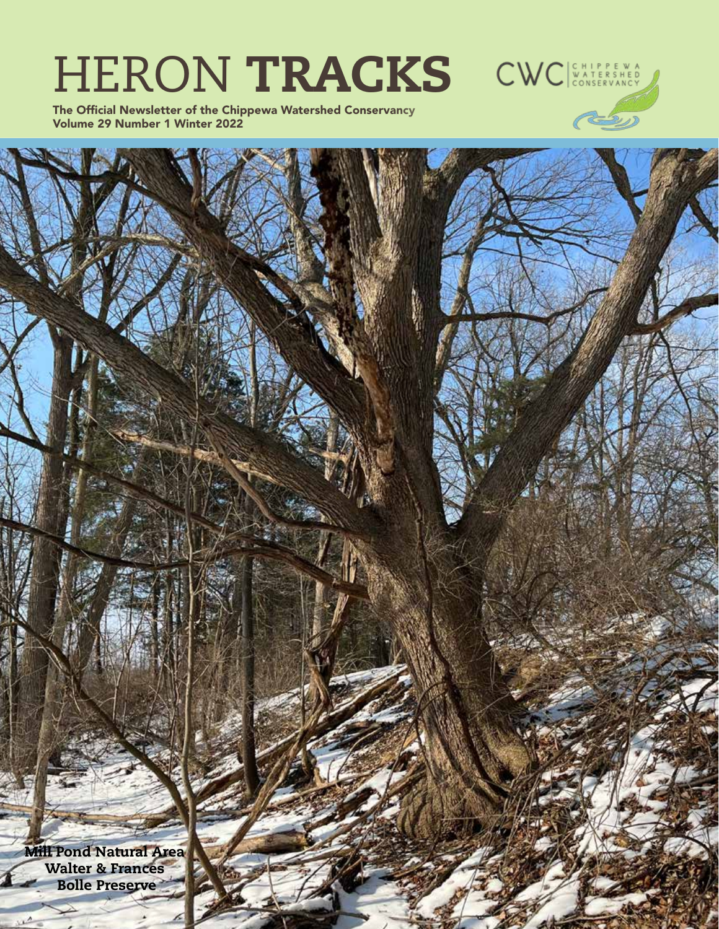# HERON TRACKS CWC

The Official Newsletter of the Chippewa Watershed Conservancy Volume 29 Number 1 Winter 2022



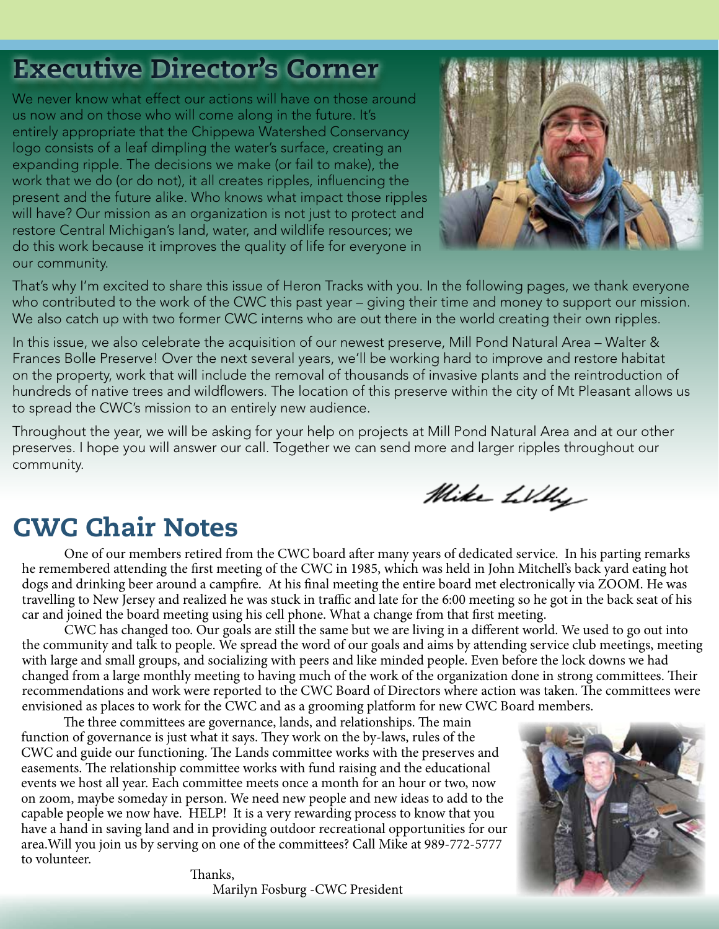# Executive Director's Corner

We never know what effect our actions will have on those around us now and on those who will come along in the future. It's entirely appropriate that the Chippewa Watershed Conservancy logo consists of a leaf dimpling the water's surface, creating an expanding ripple. The decisions we make (or fail to make), the work that we do (or do not), it all creates ripples, influencing the present and the future alike. Who knows what impact those ripples will have? Our mission as an organization is not just to protect and restore Central Michigan's land, water, and wildlife resources; we do this work because it improves the quality of life for everyone in our community.



Mike Willy

That's why I'm excited to share this issue of Heron Tracks with you. In the following pages, we thank everyone who contributed to the work of the CWC this past year – giving their time and money to support our mission. We also catch up with two former CWC interns who are out there in the world creating their own ripples.

In this issue, we also celebrate the acquisition of our newest preserve, Mill Pond Natural Area – Walter & Frances Bolle Preserve! Over the next several years, we'll be working hard to improve and restore habitat on the property, work that will include the removal of thousands of invasive plants and the reintroduction of hundreds of native trees and wildflowers. The location of this preserve within the city of Mt Pleasant allows us to spread the CWC's mission to an entirely new audience.

Throughout the year, we will be asking for your help on projects at Mill Pond Natural Area and at our other preserves. I hope you will answer our call. Together we can send more and larger ripples throughout our community.

# CWC Chair Notes

One of our members retired from the CWC board after many years of dedicated service. In his parting remarks he remembered attending the first meeting of the CWC in 1985, which was held in John Mitchell's back yard eating hot dogs and drinking beer around a campfire. At his final meeting the entire board met electronically via ZOOM. He was travelling to New Jersey and realized he was stuck in traffic and late for the 6:00 meeting so he got in the back seat of his car and joined the board meeting using his cell phone. What a change from that first meeting.

CWC has changed too. Our goals are still the same but we are living in a different world. We used to go out into the community and talk to people. We spread the word of our goals and aims by attending service club meetings, meeting with large and small groups, and socializing with peers and like minded people. Even before the lock downs we had changed from a large monthly meeting to having much of the work of the organization done in strong committees. Their recommendations and work were reported to the CWC Board of Directors where action was taken. The committees were envisioned as places to work for the CWC and as a grooming platform for new CWC Board members.

The three committees are governance, lands, and relationships. The main function of governance is just what it says. They work on the by-laws, rules of the CWC and guide our functioning. The Lands committee works with the preserves and easements. The relationship committee works with fund raising and the educational events we host all year. Each committee meets once a month for an hour or two, now on zoom, maybe someday in person. We need new people and new ideas to add to the capable people we now have. HELP! It is a very rewarding process to know that you have a hand in saving land and in providing outdoor recreational opportunities for our area.Will you join us by serving on one of the committees? Call Mike at 989-772-5777 to volunteer. Ì



 Thanks, Marilyn Fosburg -CWC President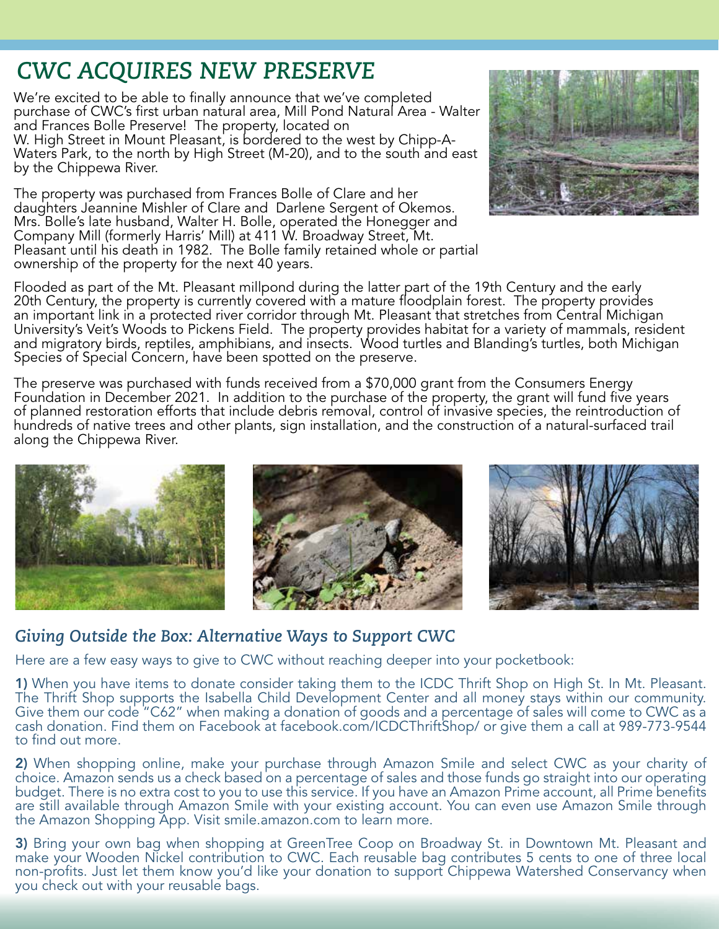# *CWC ACQUIRES NEW PRESERVE*

We're excited to be able to finally announce that we've completed purchase of CWC's first urban natural area, Mill Pond Natural Area - Walter and Frances Bolle Preserve! The property, located on W. High Street in Mount Pleasant, is bordered to the west by Chipp-A-Waters Park, to the north by High Street (M-20), and to the south and east by the Chippewa River.

The property was purchased from Frances Bolle of Clare and her daughters Jeannine Mishler of Clare and Darlene Sergent of Okemos. Mrs. Bolle's late husband, Walter H. Bolle, operated the Honegger and Company Mill (formerly Harris' Mill) at 411 W. Broadway Street, Mt. Pleasant until his death in 1982. The Bolle family retained whole or partial ownership of the property for the next 40 years.



Flooded as part of the Mt. Pleasant millpond during the latter part of the 19th Century and the early 20th Century, the property is currently covered with a mature floodplain forest. The property provides an important link in a protected river corridor through Mt. Pleasant that stretches from Central Michigan University's Veit's Woods to Pickens Field. The property provides habitat for a variety of mammals, resident and migratory birds, reptiles, amphibians, and insects. Wood turtles and Blanding's turtles, both Michigan Species of Special Concern, have been spotted on the preserve.

The preserve was purchased with funds received from a \$70,000 grant from the Consumers Energy Foundation in December 2021. In addition to the purchase of the property, the grant will fund five years of planned restoration efforts that include debris removal, control of invasive species, the reintroduction of hundreds of native trees and other plants, sign installation, and the construction of a natural-surfaced trail along the Chippewa River.



# *Giving Outside the Box: Alternative Ways to Support CWC*

Here are a few easy ways to give to CWC without reaching deeper into your pocketbook:

1) When you have items to donate consider taking them to the ICDC Thrift Shop on High St. In Mt. Pleasant. The Thrift Shop supports the Isabella Child Development Center and all money stays within our community. Give them our code "C62" when making a donation of goods and a percentage of sales will come to CWC as a cash donation. Find them on Facebook at facebook.com/ICDCThriftShop/ or give them a call at 989-773-9544 to find out more.

2) When shopping online, make your purchase through Amazon Smile and select CWC as your charity of choice. Amazon sends us a check based on a percentage of sales and those funds go straight into our operating budget. There is no extra cost to you to use this service. If you have an Amazon Prime account, all Prime benefits are still available through Amazon Smile with your existing account. You can even use Amazon Smile through the Amazon Shopping App. Visit smile.amazon.com to learn more.

3) Bring your own bag when shopping at GreenTree Coop on Broadway St. in Downtown Mt. Pleasant and make your Wooden Nickel contribution to CWC. Each reusable bag contributes 5 cents to one of three local non-profits. Just let them know you'd like your donation to support Chippewa Watershed Conservancy when you check out with your reusable bags.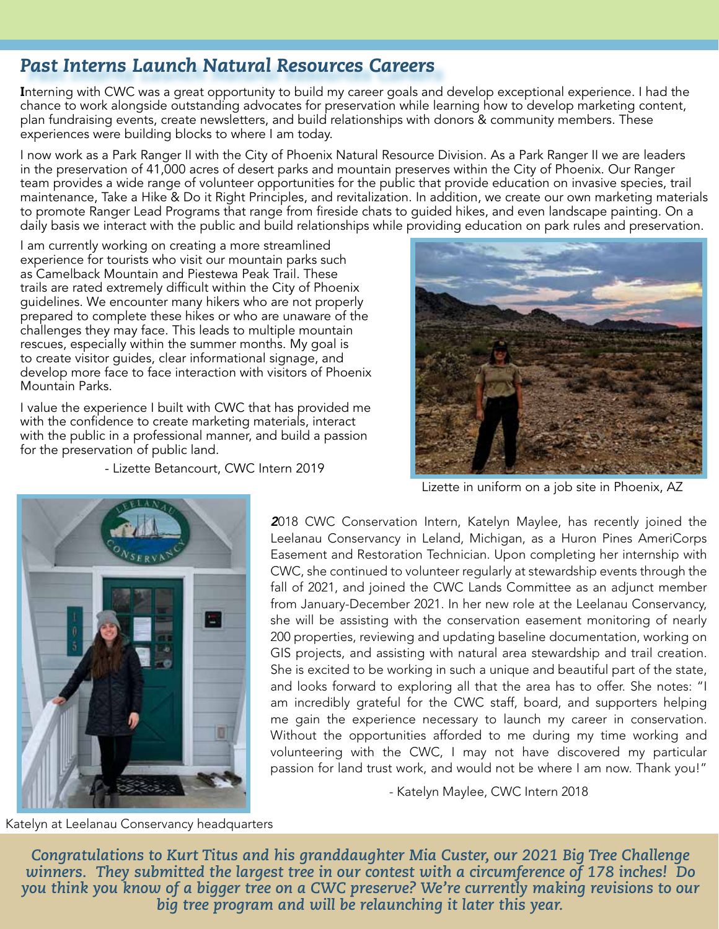# *Past Interns Launch Natural Resources Careers*

Interning with CWC was a great opportunity to build my career goals and develop exceptional experience. I had the chance to work alongside outstanding advocates for preservation while learning how to develop marketing content, plan fundraising events, create newsletters, and build relationships with donors & community members. These experiences were building blocks to where I am today.

I now work as a Park Ranger II with the City of Phoenix Natural Resource Division. As a Park Ranger II we are leaders in the preservation of 41,000 acres of desert parks and mountain preserves within the City of Phoenix. Our Ranger team provides a wide range of volunteer opportunities for the public that provide education on invasive species, trail maintenance, Take a Hike & Do it Right Principles, and revitalization. In addition, we create our own marketing materials to promote Ranger Lead Programs that range from fireside chats to guided hikes, and even landscape painting. On a daily basis we interact with the public and build relationships while providing education on park rules and preservation.

I am currently working on creating a more streamlined experience for tourists who visit our mountain parks such as Camelback Mountain and Piestewa Peak Trail. These trails are rated extremely difficult within the City of Phoenix guidelines. We encounter many hikers who are not properly prepared to complete these hikes or who are unaware of the challenges they may face. This leads to multiple mountain rescues, especially within the summer months. My goal is to create visitor guides, clear informational signage, and develop more face to face interaction with visitors of Phoenix Mountain Parks.

I value the experience I built with CWC that has provided me with the confidence to create marketing materials, interact with the public in a professional manner, and build a passion for the preservation of public land.

- Lizette Betancourt, CWC Intern 2019



Lizette in uniform on a job site in Phoenix, AZ



*2*018 CWC Conservation Intern, Katelyn Maylee, has recently joined the Leelanau Conservancy in Leland, Michigan, as a Huron Pines AmeriCorps Easement and Restoration Technician. Upon completing her internship with CWC, she continued to volunteer regularly at stewardship events through the fall of 2021, and joined the CWC Lands Committee as an adjunct member from January-December 2021. In her new role at the Leelanau Conservancy, she will be assisting with the conservation easement monitoring of nearly 200 properties, reviewing and updating baseline documentation, working on GIS projects, and assisting with natural area stewardship and trail creation. She is excited to be working in such a unique and beautiful part of the state, and looks forward to exploring all that the area has to offer. She notes: "I am incredibly grateful for the CWC staff, board, and supporters helping me gain the experience necessary to launch my career in conservation. Without the opportunities afforded to me during my time working and volunteering with the CWC, I may not have discovered my particular passion for land trust work, and would not be where I am now. Thank you!"

- Katelyn Maylee, CWC Intern 2018

Katelyn at Leelanau Conservancy headquarters

*Congratulations to Kurt Titus and his granddaughter Mia Custer, our 2021 Big Tree Challenge winners. They submitted the largest tree in our contest with a circumference of 178 inches! Do you think you know of a bigger tree on a CWC preserve? We're currently making revisions to our big tree program and will be relaunching it later this year.*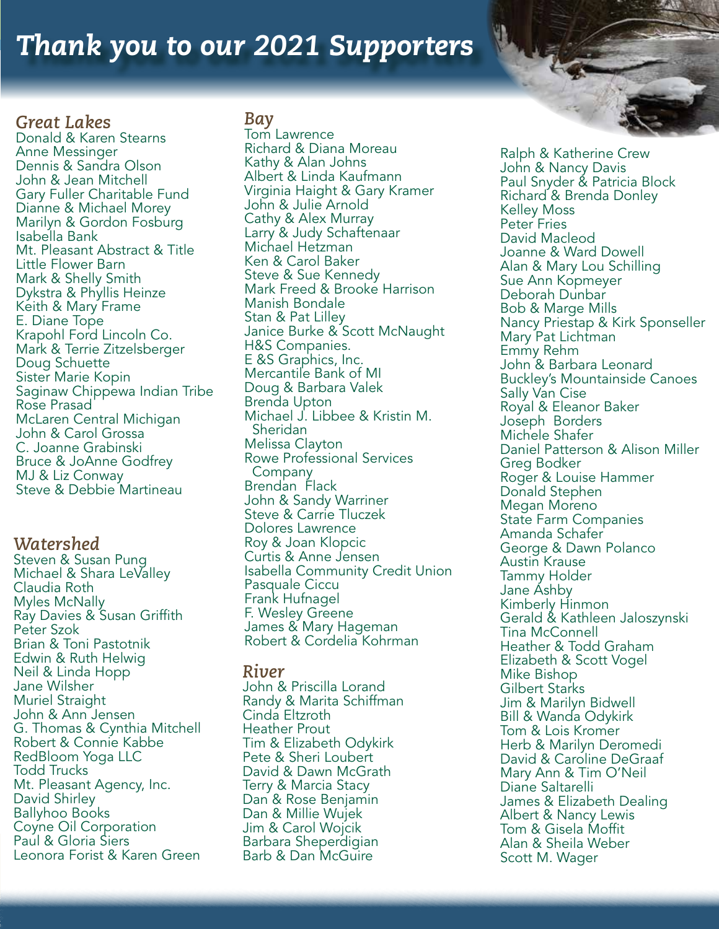# *Thank you to our 2021 Supporters*

# *Great Lakes*

Donald & Karen Stearns Anne Messinger Dennis & Sandra Olson John & Jean Mitchell Gary Fuller Charitable Fund Dianne & Michael Morey Marilyn & Gordon Fosburg Isabella Bank Mt. Pleasant Abstract & Title Little Flower Barn Mark & Shelly Smith Dykstra & Phyllis Heinze Keith & Mary Frame E. Diane Tope Krapohl Ford Lincoln Co. Mark & Terrie Zitzelsberger Doug Schuette Sister Marie Kopin Saginaw Chippewa Indian Tribe Rose Prasad McLaren Central Michigan John & Carol Grossa C. Joanne Grabinski Bruce & JoAnne Godfrey MJ & Liz Conway Steve & Debbie Martineau

### *Watershed*

Steven & Susan Pung Michael & Shara LeValley Claudia Roth Myles McNally Ray Davies & Susan Griffith Peter Szok Brian & Toni Pastotnik Edwin & Ruth Helwig Neil & Linda Hopp Jane Wilsher Muriel Straight John & Ann Jensen G. Thomas & Cynthia Mitchell Robert & Connie Kabbe RedBloom Yoga LLC Todd Trucks Mt. Pleasant Agency, Inc. David Shirley Ballyhoo Books Coyne Oil Corporation Paul & Gloria Siers Leonora Forist & Karen Green

### *Bay*

Tom Lawrence Richard & Diana Moreau Kathy & Alan Johns Albert & Linda Kaufmann Virginia Haight & Gary Kramer John & Julie Arnold Cathy & Alex Murray Larry & Judy Schaftenaar Michael Hetzman Ken & Carol Baker Steve & Sue Kennedy Mark Freed & Brooke Harrison Manish Bondale Stan & Pat Lilley Janice Burke & Scott McNaught H&S Companies. E &S Graphics, Inc. Mercantile Bank of MI Doug & Barbara Valek Brenda Upton Michael J. Libbee & Kristin M. Sheridan Melissa Clayton Rowe Professional Services Company Brendan Flack John & Sandy Warriner Steve & Carrie Tluczek Dolores Lawrence Roy & Joan Klopcic Curtis & Anne Jensen Isabella Community Credit Union Pasquale Ciccu Frank Hufnagel F. Wesley Greene James & Mary Hageman Robert & Cordelia Kohrman

### *River*

John & Priscilla Lorand Randy & Marita Schiffman Cinda Eltzroth Heather Prout Tim & Elizabeth Odykirk Pete & Sheri Loubert David & Dawn McGrath Terry & Marcia Stacy Dan & Rose Benjamin Dan & Millie Wujek Jim & Carol Wojcik Barbara Sheperdigian Barb & Dan McGuire

Ralph & Katherine Crew John & Nancy Davis Paul Snyder & Patricia Block Richard & Brenda Donley Kelley Moss Peter Fries David Macleod Joanne & Ward Dowell Alan & Mary Lou Schilling Sue Ann Kopmeyer Deborah Dunbar Bob & Marge Mills Nancy Priestap & Kirk Sponseller Mary Pat Lichtman Emmy Rehm John & Barbara Leonard Buckley's Mountainside Canoes Sally Van Cise Royal & Eleanor Baker Joseph Borders Michele Shafer Daniel Patterson & Alison Miller Greg Bodker Roger & Louise Hammer Donald Stephen Megan Moreno State Farm Companies Amanda Schafer George & Dawn Polanco Austin Krause Tammy Holder Jane Ashby Kimberly Hinmon Gerald & Kathleen Jaloszynski Tina McConnell Heather & Todd Graham Elizabeth & Scott Vogel Mike Bishop Gilbert Starks Jim & Marilyn Bidwell Bill & Wanda Odykirk Tom & Lois Kromer Herb & Marilyn Deromedi David & Caroline DeGraaf Mary Ann & Tim O'Neil Diane Saltarelli James & Elizabeth Dealing Albert & Nancy Lewis Tom & Gisela Moffit Alan & Sheila Weber Scott M. Wager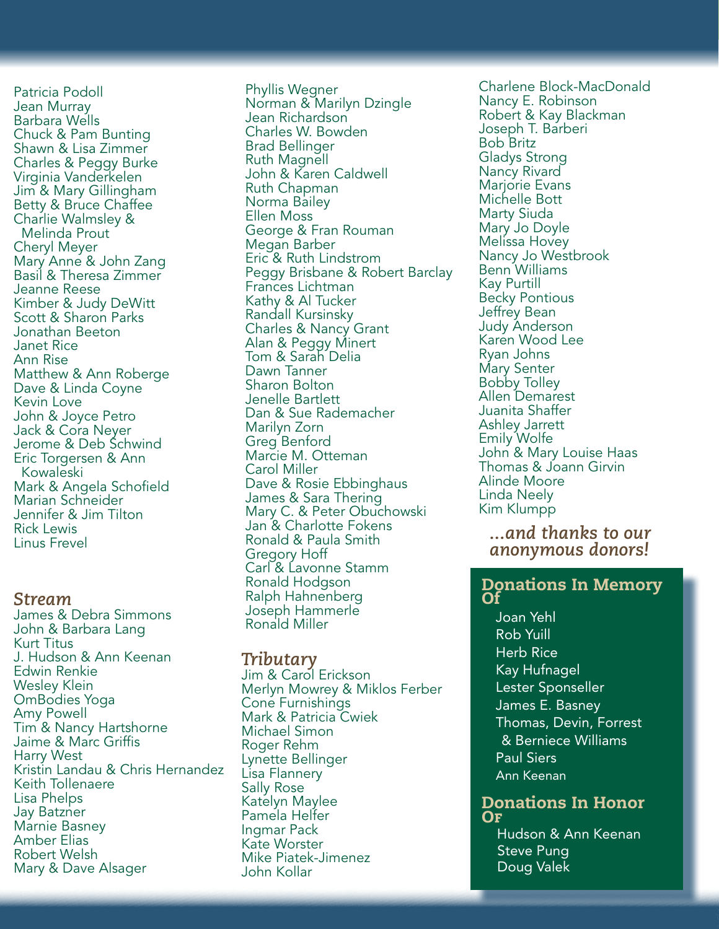Patricia Podoll Jean Murray Barbara Wells Chuck & Pam Bunting Shawn & Lisa Zimmer Charles & Peggy Burke Virginia Vanderkelen Jim & Mary Gillingham Betty & Bruce Chaffee Charlie Walmsley & Melinda Prout Cheryl Meyer Mary Anne & John Zang Basil & Theresa Zimmer Jeanne Reese Kimber & Judy DeWitt Scott & Sharon Parks Jonathan Beeton Janet Rice Ann Rise Matthew & Ann Roberge Dave & Linda Coyne Kevin Love John & Joyce Petro Jack & Cora Neyer Jerome & Deb Schwind Eric Torgersen & Ann Kowaleski Mark & Angela Schofield Marian Schneider Jennifer & Jim Tilton Rick Lewis Linus Frevel

#### *Stream*

James & Debra Simmons John & Barbara Lang Kurt Titus J. Hudson & Ann Keenan Edwin Renkie Wesley Klein OmBodies Yoga Amy Powell Tim & Nancy Hartshorne Jaime & Marc Griffis Harry West Kristin Landau & Chris Hernandez Keith Tollenaere Lisa Phelps Jay Batzner Marnie Basney Amber Elias Robert Welsh Mary & Dave Alsager

Phyllis Wegner Norman & Marilyn Dzingle Jean Richardson Charles W. Bowden Brad Bellinger Ruth Magnell John & Karen Caldwell Ruth Chapman Norma Bailey Ellen Moss George & Fran Rouman Megan Barber Eric & Ruth Lindstrom Peggy Brisbane & Robert Barclay Frances Lichtman Kathy & Al Tucker Randall Kursinsky Charles & Nancy Grant Alan & Peggy Minert Tom & Sarah Delia Dawn Tanner Sharon Bolton Jenelle Bartlett Dan & Sue Rademacher Marilyn Zorn Greg Benford Marcie M. Otteman Carol Miller Dave & Rosie Ebbinghaus James & Sara Thering Mary C. & Peter Obuchowski Jan & Charlotte Fokens Ronald & Paula Smith Gregory Hoff Carl & Lavonne Stamm Ronald Hodgson Ralph Hahnenberg Joseph Hammerle Ronald Miller

#### *Tributary*

Jim & Carol Erickson Merlyn Mowrey & Miklos Ferber Cone Furnishings Mark & Patricia Cwiek Michael Simon Roger Rehm Lynette Bellinger Lisa Flannery Sally Rose Katelyn Maylee Pamela Helfer Ingmar Pack Kate Worster Mike Piatek-Jimenez John Kollar

Charlene Block-MacDonald Nancy E. Robinson Robert & Kay Blackman Joseph T. Barberi Bob Britz Gladys Strong Nancy Rivard Marjorie Evans Michelle Bott Marty Siuda Mary Jo Doyle Melissa Hovey Nancy Jo Westbrook Benn Williams Kay Purtill Becky Pontious Jeffrey Bean Judy Anderson Karen Wood Lee Ryan Johns Mary Senter Bobby Tolley Allen Demarest Juanita Shaffer Ashley Jarrett Emily Wolfe John & Mary Louise Haas Thomas & Joann Girvin Alinde Moore Linda Neely Kim Klumpp

### *...and thanks to our anonymous donors!*

#### Donations In Memory Of

*After: New OSB decking*  Paul Siers Joan Yehl Rob Yuill Herb Rice Kay Hufnagel Lester Sponseller James E. Basney Thomas, Devin, Forrest & Berniece Williams Ann Keenan

#### Donations In Honor  $\bf{O}$ F

 Hudson & Ann Keenan Steve Pung Doug Valek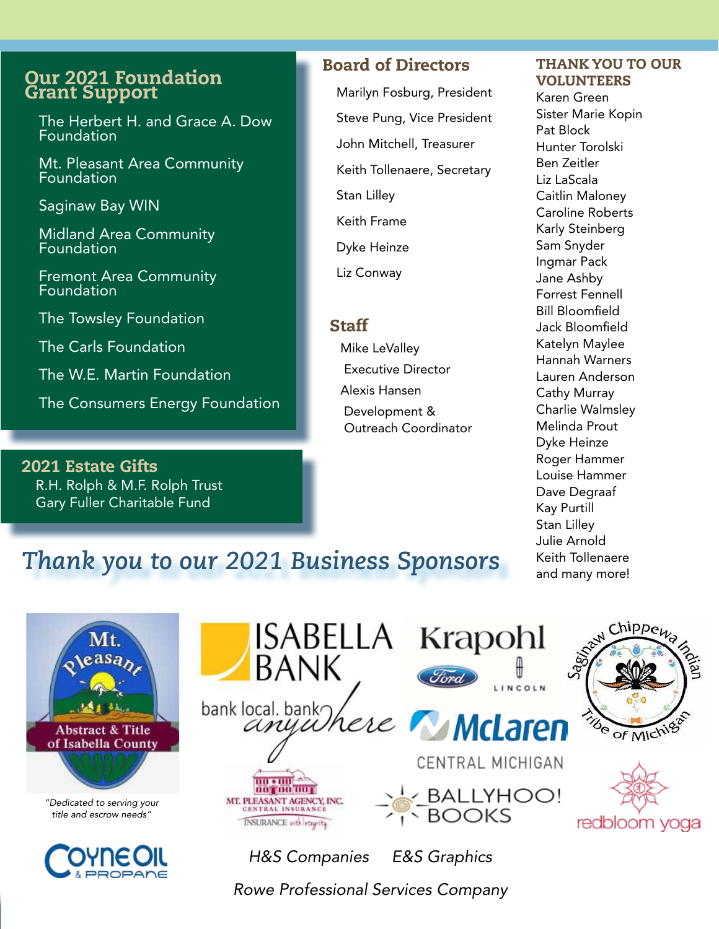## Our 2021 Foundation Grant Support

The Herbert H. and Grace A. Dow Foundation

Mt. Pleasant Area Community Foundation

Saginaw Bay WIN

Midland Area Community Foundation

Fremont Area Community **Foundation** 

The Towsley Foundation

The Carls Foundation

The W.E. Martin Foundation

The Consumers Energy Foundation

2021 Estate Gifts R.H. Rolph & M.F. Rolph Trust Gary Fuller Charitable Fund

# Board of Directors

Marilyn Fosburg, President Steve Pung, Vice President John Mitchell, Treasurer Keith Tollenaere, Secretary Stan Lilley Keith Frame Dyke Heinze Liz Conway

### **Staff**

Mike LeValley Executive Director Alexis Hansen Development & Outreach Coordinator

#### THANK YOU TO OUR VOLUNTEERS

Karen Green Sister Marie Kopin Pat Block Hunter Torolski Ben Zeitler Liz LaScala Caitlin Maloney Caroline Roberts Karly Steinberg Sam Snyder Ingmar Pack Jane Ashby Forrest Fennell Bill Bloomfield Jack Bloomfield Katelyn Maylee Hannah Warners Lauren Anderson Cathy Murray Charlie Walmsley Melinda Prout Dyke Heinze Roger Hammer Louise Hammer Dave Degraaf Kay Purtill Stan Lilley Julie Arnold Keith Tollenaere and many more!

# *Thank you to our 2021 Business Sponsors*





*H&S Companies E&S Graphics* 

*Rowe Professional Services Company*